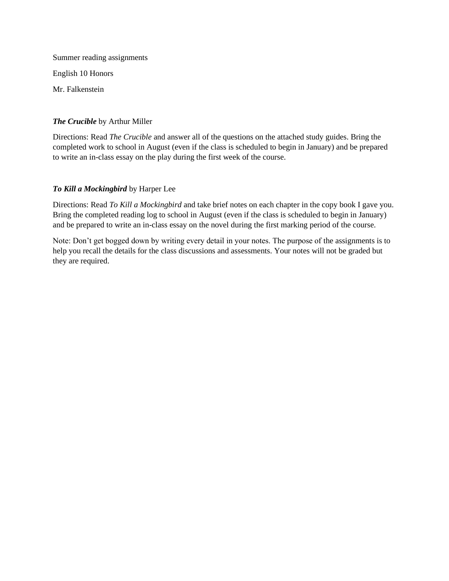Summer reading assignments English 10 Honors Mr. Falkenstein

## *The Crucible* by Arthur Miller

Directions: Read *The Crucible* and answer all of the questions on the attached study guides. Bring the completed work to school in August (even if the class is scheduled to begin in January) and be prepared to write an in-class essay on the play during the first week of the course.

## *To Kill a Mockingbird* by Harper Lee

Directions: Read *To Kill a Mockingbird* and take brief notes on each chapter in the copy book I gave you. Bring the completed reading log to school in August (even if the class is scheduled to begin in January) and be prepared to write an in-class essay on the novel during the first marking period of the course.

Note: Don't get bogged down by writing every detail in your notes. The purpose of the assignments is to help you recall the details for the class discussions and assessments. Your notes will not be graded but they are required.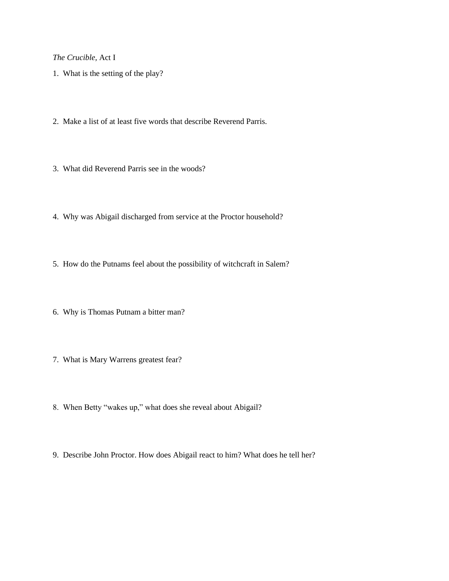*The Crucible,* Act I

- 1. What is the setting of the play?
- 2. Make a list of at least five words that describe Reverend Parris.
- 3. What did Reverend Parris see in the woods?
- 4. Why was Abigail discharged from service at the Proctor household?
- 5. How do the Putnams feel about the possibility of witchcraft in Salem?
- 6. Why is Thomas Putnam a bitter man?
- 7. What is Mary Warrens greatest fear?
- 8. When Betty "wakes up," what does she reveal about Abigail?
- 9. Describe John Proctor. How does Abigail react to him? What does he tell her?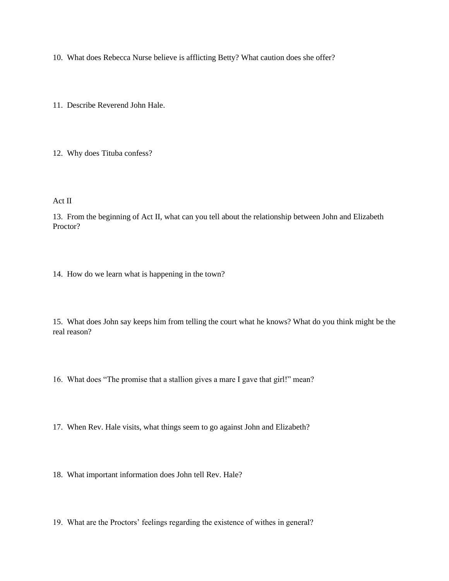10. What does Rebecca Nurse believe is afflicting Betty? What caution does she offer?

11. Describe Reverend John Hale.

12. Why does Tituba confess?

Act II

13. From the beginning of Act II, what can you tell about the relationship between John and Elizabeth Proctor?

14. How do we learn what is happening in the town?

15. What does John say keeps him from telling the court what he knows? What do you think might be the real reason?

16. What does "The promise that a stallion gives a mare I gave that girl!" mean?

17. When Rev. Hale visits, what things seem to go against John and Elizabeth?

18. What important information does John tell Rev. Hale?

19. What are the Proctors' feelings regarding the existence of withes in general?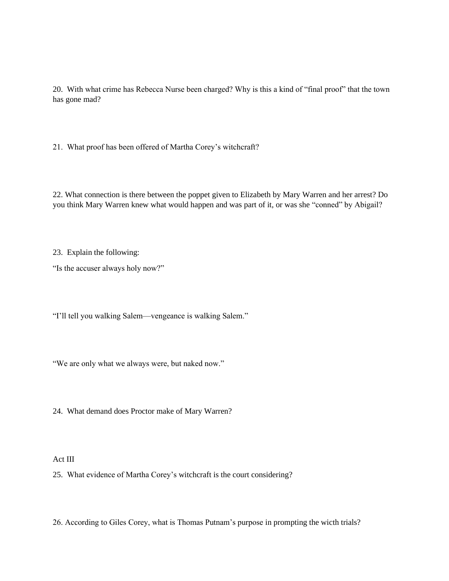20. With what crime has Rebecca Nurse been charged? Why is this a kind of "final proof" that the town has gone mad?

21. What proof has been offered of Martha Corey's witchcraft?

22. What connection is there between the poppet given to Elizabeth by Mary Warren and her arrest? Do you think Mary Warren knew what would happen and was part of it, or was she "conned" by Abigail?

23. Explain the following:

"Is the accuser always holy now?"

"I'll tell you walking Salem—vengeance is walking Salem."

"We are only what we always were, but naked now."

24. What demand does Proctor make of Mary Warren?

Act III

25. What evidence of Martha Corey's witchcraft is the court considering?

26. According to Giles Corey, what is Thomas Putnam's purpose in prompting the wicth trials?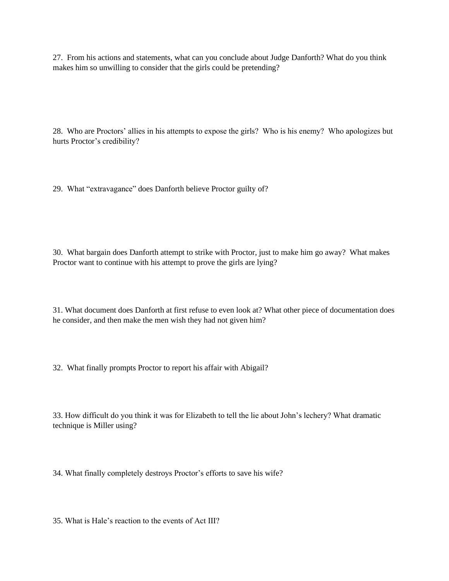27. From his actions and statements, what can you conclude about Judge Danforth? What do you think makes him so unwilling to consider that the girls could be pretending?

28. Who are Proctors' allies in his attempts to expose the girls? Who is his enemy? Who apologizes but hurts Proctor's credibility?

29. What "extravagance" does Danforth believe Proctor guilty of?

30. What bargain does Danforth attempt to strike with Proctor, just to make him go away? What makes Proctor want to continue with his attempt to prove the girls are lying?

31. What document does Danforth at first refuse to even look at? What other piece of documentation does he consider, and then make the men wish they had not given him?

32. What finally prompts Proctor to report his affair with Abigail?

33. How difficult do you think it was for Elizabeth to tell the lie about John's lechery? What dramatic technique is Miller using?

34. What finally completely destroys Proctor's efforts to save his wife?

35. What is Hale's reaction to the events of Act III?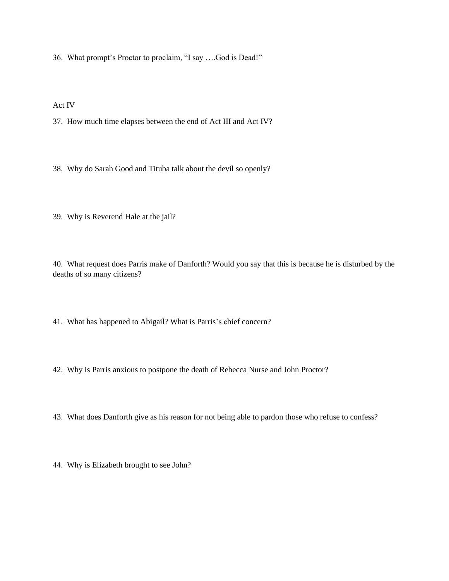36. What prompt's Proctor to proclaim, "I say ….God is Dead!"

Act IV

37. How much time elapses between the end of Act III and Act IV?

38. Why do Sarah Good and Tituba talk about the devil so openly?

39. Why is Reverend Hale at the jail?

40. What request does Parris make of Danforth? Would you say that this is because he is disturbed by the deaths of so many citizens?

41. What has happened to Abigail? What is Parris's chief concern?

42. Why is Parris anxious to postpone the death of Rebecca Nurse and John Proctor?

43. What does Danforth give as his reason for not being able to pardon those who refuse to confess?

44. Why is Elizabeth brought to see John?